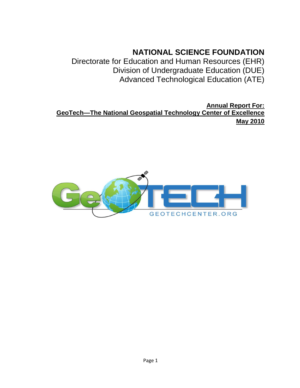# **NATIONAL SCIENCE FOUNDATION**

Directorate for Education and Human Resources (EHR) Division of Undergraduate Education (DUE) Advanced Technological Education (ATE)

**Annual Report For: GeoTech—The National Geospatial Technology Center of Excellence May 2010**

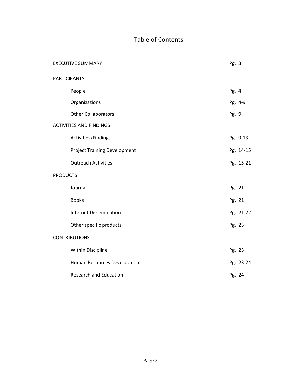# Table of Contents

|                     | <b>EXECUTIVE SUMMARY</b>            | Pg. 3  |           |
|---------------------|-------------------------------------|--------|-----------|
| <b>PARTICIPANTS</b> |                                     |        |           |
|                     | People                              | Pg. 4  |           |
|                     | Organizations                       |        | Pg. 4-9   |
|                     | <b>Other Collaborators</b>          | Pg. 9  |           |
|                     | <b>ACTIVITIES AND FINDINGS</b>      |        |           |
|                     | Activities/Findings                 |        | Pg. 9-13  |
|                     | <b>Project Training Development</b> |        | Pg. 14-15 |
|                     | <b>Outreach Activities</b>          |        | Pg. 15-21 |
| <b>PRODUCTS</b>     |                                     |        |           |
|                     | Journal                             | Pg. 21 |           |
|                     | <b>Books</b>                        | Pg. 21 |           |
|                     | <b>Internet Dissemination</b>       |        | Pg. 21-22 |
|                     | Other specific products             | Pg. 23 |           |
|                     | <b>CONTRIBUTIONS</b>                |        |           |
|                     | Within Discipline                   | Pg. 23 |           |
|                     | Human Resources Development         |        | Pg. 23-24 |
|                     | <b>Research and Education</b>       | Pg. 24 |           |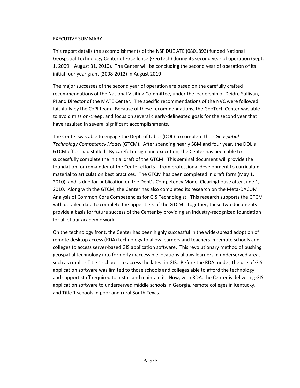## EXECUTIVE SUMMARY

This report details the accomplishments of the NSF DUE ATE (0801893) funded National Geospatial Technology Center of Excellence (GeoTech) during its second year of operation (Sept. 1, 2009—August 31, 2010). The Center will be concluding the second year of operation of its initial four year grant (2008-2012) in August 2010

The major successes of the second year of operation are based on the carefully crafted recommendations of the National Visiting Committee, under the leadership of Deidre Sullivan, PI and Director of the MATE Center. The specific recommendations of the NVC were followed faithfully by the CoPI team. Because of these recommendations, the GeoTech Center was able to avoid mission-creep, and focus on several clearly-delineated goals for the second year that have resulted in several significant accomplishments.

The Center was able to engage the Dept. of Labor (DOL) to complete their *Geospatial Technology Competency Model* (GTCM). After spending nearly \$8M and four year, the DOL's GTCM effort had stalled. By careful design and execution, the Center has been able to successfully complete the initial draft of the GTCM. This seminal document will provide the foundation for remainder of the Center efforts—from professional development to curriculum material to articulation best practices. The GTCM has been completed in draft form (May 1, 2010), and is due for publication on the Dept's Competency Model Clearinghouse after June 1, 2010. Along with the GTCM, the Center has also completed its research on the Meta-DACUM Analysis of Common Core Competencies for GIS Technologist. This research supports the GTCM with detailed data to complete the upper tiers of the GTCM. Together, these two documents provide a basis for future success of the Center by providing an industry-recognized foundation for all of our academic work.

On the technology front, the Center has been highly successful in the wide-spread adoption of remote desktop access (RDA) technology to allow learners and teachers in remote schools and colleges to access server-based GIS application software. This revolutionary method of pushing geospatial technology into formerly inaccessible locations allows learners in underserved areas, such as rural or Title 1 schools, to access the latest in GIS. Before the RDA model, the use of GIS application software was limited to those schools and colleges able to afford the technology, and support staff required to install and maintain it. Now, with RDA, the Center is delivering GIS application software to underserved middle schools in Georgia, remote colleges in Kentucky, and Title 1 schools in poor and rural South Texas.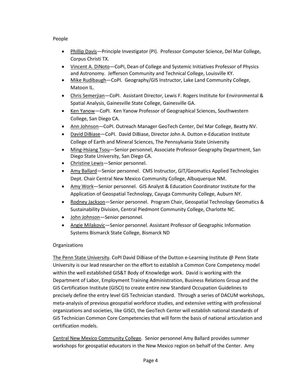# People

- Phillip Davis—Principle Investigator (PI). Professor Computer Science, Del Mar College, Corpus Christi TX.
- Vincent A. DiNoto—CoPI, Dean of College and Systemic Initiatives Professor of Physics and Astronomy. Jefferson Community and Technical College, Louisville KY.
- Mike Rudibaugh-CoPI. Geography/GIS Instructor, Lake Land Community College, Matoon IL.
- Chris Semerjian—CoPI. Assistant Director, Lewis F. Rogers Institute for Environmental & Spatial Analysis, Gainesville State College, Gainesville GA.
- Ken Yanow—CoPI. Ken Yanow Professor of Geographical Sciences, Southwestern College, San Diego CA.
- Ann Johnson-CoPI. Outreach Manager GeoTech Center, Del Mar College, Beatty NV.
- David DiBiase—CoPI. David DiBiase, Director John A. Dutton e-Education Institute College of Earth and Mineral Sciences, The Pennsylvania State University
- Ming-Hsiang Tsou-Senior personnel, Associate Professor Geography Department, San Diego State University, San Diego CA.
- Christine Lewis-Senior personnel.
- Amy Ballard—Senior personnel. CMS Instructor, GIT/Geomatics Applied Technologies Dept. Chair Central New Mexico Community College, Albuquerque NM.
- Amy Work—Senior personnel. GIS Analyst & Education Coordinator Institute for the Application of Geospatial Technology, Cayuga Community College, Auburn NY.
- Rodney Jackson-Senior personnel. Program Chair, Geospatial Technology Geomatics & Sustainability Division, Central Piedmont Community College, Charlotte NC.
- John Johnson—Senior personnel*.*
- Angie Milakovic—Senior personnel. Assistant Professor of Geographic Information Systems Bismarck State College, Bismarck ND

# **Organizations**

The Penn State University. CoPI David DiBiase of the Dutton e-Learning Institute @ Penn State University is our lead researcher on the effort to establish a Common Core Competency model within the well established GIS&T Body of Knowledge work. David is working with the Department of Labor, Employment Training Administration, Business Relations Group and the GIS Certification Institute (GISCI) to create entire new Standard Occupation Guidelines to precisely define the entry level GIS Technician standard. Through a series of DACUM workshops, meta-analysis of previous geospatial workforce studies, and extensive vetting with professional organizations and societies, like GISCI, the GeoTech Center will establish national standards of GIS Technician Common Core Competencies that will form the basis of national articulation and certification models.

Central New Mexico Community College. Senior personnel Amy Ballard provides summer workshops for geospatial educators in the New Mexico region on behalf of the Center. Amy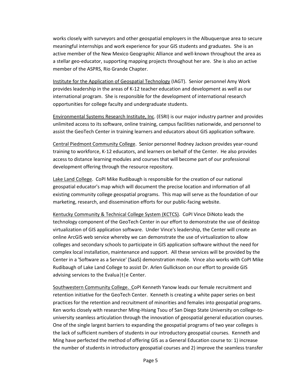works closely with surveyors and other geospatial employers in the Albuquerque area to secure meaningful internships and work experience for your GIS students and graduates. She is an active member of the New Mexico Geographic Alliance and well-known throughout the area as a stellar geo-educator, supporting mapping projects throughout her are. She is also an active member of the ASPRS, Rio Grande Chapter.

Institute for the Application of Geospatial Technology (IAGT). Senior personnel Amy Work provides leadership in the areas of K-12 teacher education and development as well as our international program. She is responsible for the development of international research opportunities for college faculty and undergraduate students.

Environmental Systems Research Institute, Inc. (ESRI) is our major industry partner and provides unlimited access to its software, online training, campus facilities nationwide, and personnel to assist the GeoTech Center in training learners and educators about GIS application software.

Central Piedmont Community College. Senior personnel Rodney Jackson provides year-round training to workforce, K-12 educators, and learners on behalf of the Center. He also provides access to distance learning modules and courses that will become part of our professional development offering through the resource repository.

Lake Land College. CoPI Mike Rudibaugh is responsible for the creation of our national geospatial educator's map which will document the precise location and information of all existing community college geospatial programs. This map will serve as the foundation of our marketing, research, and dissemination efforts for our public-facing website.

Kentucky Community & Technical College System (KCTCS). CoPI Vince DiNoto leads the technology component of the GeoTech Center in our effort to demonstrate the use of desktop virtualization of GIS application software. Under Vince's leadership, the Center will create an online ArcGIS web service whereby we can demonstrate the use of virtualization to allow colleges and secondary schools to participate in GIS application software without the need for complex local installation, maintenance and support. All these services will be provided by the Center in a 'Software as a Service' (SaaS) demonstration mode. Vince also works with CoPI Mike Rudibaugh of Lake Land College to assist Dr. Arlen Gullickson on our effort to provide GIS advising services to the Evalua | t | e Center.

Southwestern Community College. CoPI Kenneth Yanow leads our female recruitment and retention initiative for the GeoTech Center. Kenneth is creating a white paper series on best practices for the retention and recruitment of minorities and females into geospatial programs. Ken works closely with researcher Ming-Hsiang Tsou of San Diego State University on college-touniversity seamless articulation through the innovation of geospatial general education courses. One of the single largest barriers to expanding the geospatial programs of two year colleges is the lack of sufficient numbers of students in our introductory geospatial courses. Kenneth and Ming have perfected the method of offering GIS as a General Education course to: 1) increase the number of students in introductory geospatial courses and 2) improve the seamless transfer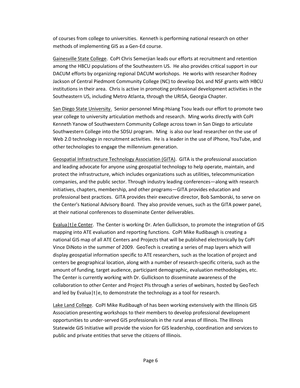of courses from college to universities. Kenneth is performing national research on other methods of implementing GIS as a Gen-Ed course.

Gainesville State College. CoPI Chris Semerjian leads our efforts at recruitment and retention among the HBCU populations of the Southeastern US. He also provides critical support in our DACUM efforts by organizing regional DACUM workshops. He works with researcher Rodney Jackson of Central Piedmont Community College (NC) to develop DoL and NSF grants with HBCU institutions in their area. Chris is active in promoting professional development activities in the Southeastern US, including Metro Atlanta, through the URISA, Georgia Chapter.

San Diego State University. Senior personnel Ming-Hsiang Tsou leads our effort to promote two year college to university articulation methods and research. Ming works directly with CoPI Kenneth Yanow of Southwestern Community College across town in San Diego to articulate Southwestern College into the SDSU program. Ming is also our lead researcher on the use of Web 2.0 technology in recruitment activities. He is a leader in the use of iPhone, YouTube, and other technologies to engage the millennium generation.

Geospatial Infrastructure Technology Association (GITA). GITA is the professional association and leading advocate for anyone using geospatial technology to help operate, maintain, and protect the infrastructure, which includes organizations such as utilities, telecommunication companies, and the public sector. Through industry leading conferences—along with research initiatives, chapters, membership, and other programs—GITA provides education and professional best practices. GITA provides their executive director, Bob Samborski, to serve on the Center's National Advisory Board. They also provide venues, such as the GITA power panel, at their national conferences to disseminate Center deliverables.

Evalua|t|e Center. The Center is working Dr. Arlen Gullickson, to promote the integration of GIS mapping into ATE evaluation and reporting functions. CoPI Mike Rudibaugh is creating a national GIS map of all ATE Centers and Projects that will be published electronically by CoPI Vince DiNoto in the summer of 2009. GeoTech is creating a series of map layers which will display geospatial information specific to ATE researchers, such as the location of project and centers be geographical location, along with a number of research-specific criteria, such as the amount of funding, target audience, participant demographic, evaluation methodologies, etc. The Center is currently working with Dr. Gullickson to disseminate awareness of the collaboration to other Center and Project PIs through a series of webinars, hosted by GeoTech and led by Evalua $|t|e$ , to demonstrate the technology as a tool for research.

Lake Land College. CoPI Mike Rudibaugh of has been working extensively with the Illinois GIS Association presenting workshops to their members to develop professional development opportunities to under-served GIS professionals in the rural areas of Illinois. The Illinois Statewide GIS Initiative will provide the vision for GIS leadership, coordination and services to public and private entities that serve the citizens of Illinois.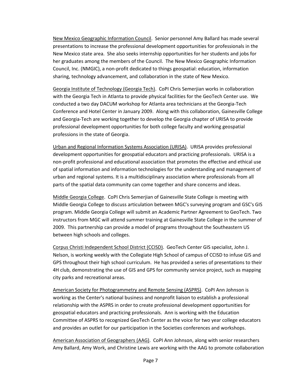New Mexico Geographic Information Council. Senior personnel Amy Ballard has made several presentations to increase the professional development opportunities for professionals in the New Mexico state area. She also seeks internship opportunities for her students and jobs for her graduates among the members of the Council. The New Mexico Geographic Information Council, Inc. (NMGIC), a non-profit dedicated to things geospatial: education, information sharing, technology advancement, and collaboration in the state of New Mexico.

Georgia Institute of Technology (Georgia Tech). CoPI Chris Semerjian works in collaboration with the Georgia Tech in Atlanta to provide physical facilities for the GeoTech Center use. We conducted a two day DACUM workshop for Atlanta area technicians at the Georgia-Tech Conference and Hotel Center in January 2009. Along with this collaboration, Gainesville College and Georgia-Tech are working together to develop the Georgia chapter of URISA to provide professional development opportunities for both college faculty and working geospatial professions in the state of Georgia.

Urban and Regional Information Systems Association (URISA). URISA provides professional development opportunities for geospatial educators and practicing professionals. URISA is a non-profit professional and educational association that promotes the effective and ethical use of spatial information and information technologies for the understanding and management of urban and regional systems. It is a multidisciplinary association where professionals from all parts of the spatial data community can come together and share concerns and ideas.

Middle Georgia College. CoPI Chris Semerjian of Gainesville State College is meeting with Middle Georgia College to discuss articulation between MGC's surveying program and GSC's GIS program. Middle Georgia College will submit an Academic Partner Agreement to GeoTech. Two instructors from MGC will attend summer training at Gainesville State College in the summer of 2009. This partnership can provide a model of programs throughout the Southeastern US between high schools and colleges.

Corpus Christi Independent School District (CCISD). GeoTech Center GIS specialist, John J. Nelson, is working weekly with the Collegiate High School of campus of CCISD to infuse GIS and GPS throughout their high school curriculum. He has provided a series of presentations to their 4H club, demonstrating the use of GIS and GPS for community service project, such as mapping city parks and recreational areas.

American Society for Photogrammetry and Remote Sensing (ASPRS). CoPI Ann Johnson is working as the Center's national business and nonprofit liaison to establish a professional relationship with the ASPRS in order to create professional development opportunities for geospatial educators and practicing professionals. Ann is working with the Education Committee of ASPRS to recognized GeoTech Center as the voice for two year college educators and provides an outlet for our participation in the Societies conferences and workshops.

American Association of Geographers (AAG). CoPI Ann Johnson, along with senior researchers Amy Ballard, Amy Work, and Christine Lewis are working with the AAG to promote collaboration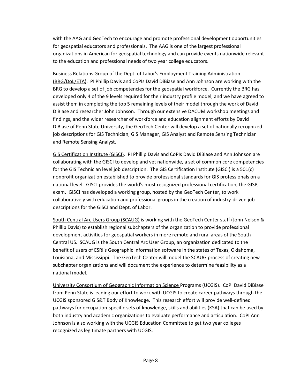with the AAG and GeoTech to encourage and promote professional development opportunities for geospatial educators and professionals. The AAG is one of the largest professional organizations in American for geospatial technology and can provide events nationwide relevant to the education and professional needs of two year college educators.

Business Relations Group of the Dept. of Labor's Employment Training Administration (BRG/DoL/ETA). PI Phillip Davis and CoPIs David DiBiase and Ann Johnson are working with the BRG to develop a set of job competencies for the geospatial workforce. Currently the BRG has developed only 4 of the 9 levels required for their industry profile model, and we have agreed to assist them in completing the top 5 remaining levels of their model through the work of David DiBiase and researcher John Johnson. Through our extensive DACUM workshop meetings and findings, and the wider researcher of workforce and education alignment efforts by David DiBiase of Penn State University, the GeoTech Center will develop a set of nationally recognized job descriptions for GIS Technician, GIS Manager, GIS Analyst and Remote Sensing Technician and Remote Sensing Analyst.

GIS Certification Institute (GISCI). PI Phillip Davis and CoPIs David DiBiase and Ann Johnson are collaborating with the GISCI to develop and vet nationwide, a set of common core competencies for the GIS Technician level job description. The GIS Certification Institute (GISCI) is a 501(c) nonprofit organization established to provide professional standards for GIS professionals on a national level. GISCI provides the world's most recognized professional certification, the GISP, exam. GISCI has developed a working group, hosted by the GeoTech Center, to work collaboratively with education and professional groups in the creation of industry-driven job descriptions for the GISCI and Dept. of Labor.

South Central Arc Users Group (SCAUG) is working with the GeoTech Center staff (John Nelson & Phillip Davis) to establish regional subchapters of the organization to provide professional development activities for geospatial workers in more remote and rural areas of the South Central US. SCAUG is the South Central Arc User Group, an organization dedicated to the benefit of users of ESRI's Geographic Information software in the states of Texas, Oklahoma, Louisiana, and Mississippi. The GeoTech Center will model the SCAUG process of creating new subchapter organizations and will document the experience to determine feasibility as a national model.

University Consortium of Geographic Information Science Programs (UCGIS). CoPI David DiBiase from Penn State is leading our effort to work with UCGIS to create career pathways through the UCGIS sponsored GIS&T Body of Knowledge. This research effort will provide well-defined pathways for occupation-specific sets of knowledge, skills and abilities (KSA) that can be used by both industry and academic organizations to evaluate performance and articulation. CoPI Ann Johnson is also working with the UCGIS Education Committee to get two year colleges recognized as legitimate partners with UCGIS.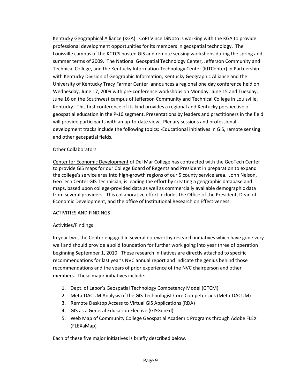Kentucky Geographical Alliance (KGA). CoPI Vince DiNoto is working with the KGA to provide professional development opportunities for its members in geospatial technology. The Louisville campus of the KCTCS hosted GIS and remote sensing workshops during the spring and summer terms of 2009. The National Geospatial Technology Center, Jefferson Community and Technical College, and the Kentucky Information Technology Center (KITCenter) in Partnership with Kentucky Division of Geographic Information, Kentucky Geographic Alliance and the University of Kentucky Tracy Farmer Center announces a regional one day conference held on Wednesday, June 17, 2009 with pre-conference workshops on Monday, June 15 and Tuesday, June 16 on the Southwest campus of Jefferson Community and Technical College in Louisville, Kentucky. This first conference of its kind provides a regional and Kentucky perspective of geospatial education in the P-16 segment. Presentations by leaders and practitioners in the field will provide participants with an up-to-date view. Plenary sessions and professional development tracks include the following topics: -Educational initiatives in GIS, remote sensing and other geospatial fields.

# Other Collaborators

Center for Economic Development of Del Mar College has contracted with the GeoTech Center to provide GIS maps for our College Board of Regents and President in preparation to expand the college's service area into high-growth regions of our 5 county service area. John Nelson, GeoTech Center GIS Technician, is leading the effort by creating a geographic database and maps, based upon college-provided data as well as commercially available demographic data from several providers. This collaborative effort includes the Office of the President, Dean of Economic Development, and the office of Institutional Research on Effectiveness.

## ACTIVITIES AND FINDINGS

# Activities/Findings

In year two, the Center engaged in several noteworthy research initiatives which have gone very well and should provide a solid foundation for further work going into year three of operation beginning September 1, 2010. These research initiatives are directly attached to specific recommendations for last year's NVC annual report and indicate the genius behind those recommendations and the years of prior experience of the NVC chairperson and other members. These major initiatives include:

- 1. Dept. of Labor's Geospatial Technology Competency Model (GTCM)
- 2. Meta-DACUM Analysis of the GIS Technologist Core Competencies (Meta-DACUM)
- 3. Remote Desktop Access to Virtual GIS Applications (RDA)
- 4. GIS as a General Education Elective (GISGenEd)
- 5. Web Map of Community College Geospatial Academic Programs through Adobe FLEX (FLEXaMap)

Each of these five major initiatives is briefly described below.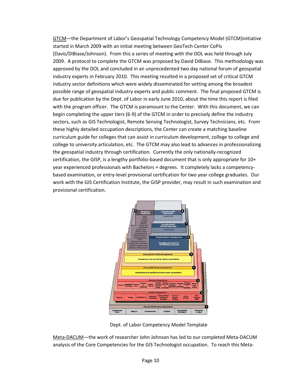GTCM—the Department of Labor's Geospatial Technology Competency Model (GTCM)initiative started in March 2009 with an initial meeting between GeoTech Center CoPIs (Davis/DiBiase/Johnson). From this a series of meeting with the DOL was held through July 2009. A protocol to complete the GTCM was proposed by David DiBiase. This methodology was approved by the DOL and concluded in an unprecedented two day national forum of geospatial industry experts in February 2010. This meeting resulted in a proposed set of critical GTCM industry sector definitions which were widely disseminated for vetting among the broadest possible range of geospatial industry experts and public comment. The final proposed GTCM is due for publication by the Dept. of Labor in early June 2010, about the time this report is filed with the program officer. The GTCM is paramount to the Center. With this document, we can begin completing the upper tiers (6-9) of the GTCM in order to precisely define the industry sectors, such as GIS Technologist, Remote Sensing Technologist, Survey Technicians, etc. From these highly detailed occupation descriptions, the Center can create a matching baseline curriculum guide for colleges that can assist in curriculum development, college to college and college to university articulation, etc. The GTCM may also lead to advances in professionalizing the geospatial industry through certification. Currently the only nationally-recognized certification, the GISP, is a lengthy portfolio-based document that is only appropriate for 10+ year experienced professionals with Bachelors + degrees. It completely lacks a competencybased examination, or entry-level provisional certification for two year college graduates. Our work with the GIS Certification Institute, the GISP provider, may result in such examination and provisional certification.



Dept. of Labor Competency Model Template

Meta-DACUM—the work of researcher John Johnson has led to our completed Meta-DACUM analysis of the Core Competencies for the GIS Technologist occupation. To reach this Meta-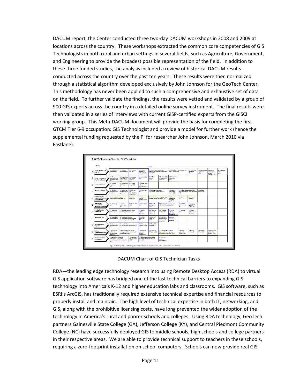DACUM report, the Center conducted three two-day DACUM workshops in 2008 and 2009 at locations across the country. These workshops extracted the common core competencies of GIS Technologists in both rural and urban settings in several fields, such as Agriculture, Government, and Engineering to provide the broadest possible representation of the field. In addition to these three funded studies, the analysis included a review of historical DACUM results conducted across the country over the past ten years. These results were then normalized through a statistical algorithm developed exclusively by John Johnson for the GeoTech Center. This methodology has never been applied to such a comprehensive and exhaustive set of data on the field. To further validate the findings, the results were vetted and validated by a group of 900 GIS experts across the country in a detailed online survey instrument. The final results were then validated in a series of interviews with current GISP-certified experts from the GISCI working group. This Meta-DACUM document will provide the basis for completing the first GTCM Tier 6-9 occupation: GIS Technologist and provide a model for further work (hence the supplemental funding requested by the PI for researcher John Johnson, March 2010 via Fastlane).

|   | Ducie:                                                                | ٠                                                                                                                                                                        |                                                                                                                                              |                                                                                             |                                                                              | Tasks                                                                                                                                       |                                                                              |                                                                     |                                                  |                                                               |                                                  |                                                                |                                    |
|---|-----------------------------------------------------------------------|--------------------------------------------------------------------------------------------------------------------------------------------------------------------------|----------------------------------------------------------------------------------------------------------------------------------------------|---------------------------------------------------------------------------------------------|------------------------------------------------------------------------------|---------------------------------------------------------------------------------------------------------------------------------------------|------------------------------------------------------------------------------|---------------------------------------------------------------------|--------------------------------------------------|---------------------------------------------------------------|--------------------------------------------------|----------------------------------------------------------------|------------------------------------|
| A | Create / Acquire GIS<br>$Dstat$ (3)                                   | A-1 Duties date<br>receivements (C)                                                                                                                                      | A-3 Parchaeo<br>A-2 Harranch<br>A-4 Develop<br>available data (C)<br>new data<br>databarer (e.g.<br>define promoty.<br>with development (CC) |                                                                                             |                                                                              | A-5 Dattas festare relationships!<br>behaviourie.g. relate tables, relationably<br>(D) General                                              |                                                                              | A-5 Define feature behaviors (e.g. sub-<br>typer & domaine) (C)     |                                                  | A-7 COOO legal<br><b><i><u>Europeirea</u></i></b><br>$\omega$ | A-5 Parform table<br>distinction.<br>$\alpha$ cs | A-9 Perform<br>"hande-up" (co-<br>access)<br>$4$ sitution (EC) | A-10 Oecoods<br>date<br>$\alpha$ c |
| A | Create / Acquire GES<br>Data* (3) continued                           | 4-11 Determine<br>data competibility<br>(e.g. projections)<br>(8.0)                                                                                                      | A-12 Perform data<br>convenient (e.g.<br>between formate)<br>œ.                                                                              | A-13 Preshen<br>CIDS favours<br>strives<br>$q_1c_2$                                         | A-14 OA/OC data<br>ac                                                        | A-15 Cheste<br>metedate<br>(2,2)                                                                                                            | A-16 Collect Seld<br>location data via<br><b>GPS (E.C)</b>                   | A-17 Cellect field<br>stribute data<br>CC.CO                        |                                                  |                                                               |                                                  |                                                                |                                    |
| B | <b>Create Image Data</b>                                              | <b>B-1 Sewa hard</b><br>cepy images<br>nio.                                                                                                                              | B-2 Cherofennan<br>digital impagery<br>65                                                                                                    | <b>BJ Ractive</b><br>imager (C)                                                             | B-4 Parliam image<br>saulanie.<br>(a.g. classification)                      |                                                                                                                                             |                                                                              |                                                                     |                                                  |                                                               |                                                  |                                                                |                                    |
| c | Maintain GES Data* //                                                 | C-1 Develop a<br>data maintenance<br>schedules                                                                                                                           | C-2 Develop GBS<br>procedures (e.g. to<br>spiete data)                                                                                       | 0-3 824 003<br>data<br>(e.g. add, delete,<br>update) (E.C)                                  | C-4 GA/DC 4x6<br>ac                                                          | C-5 Refinely project favore<br>(e.g. imagary, theratic layers) (C)                                                                          |                                                                              | C-6 Connect<br>between data<br>formate (C)                          | C-7 Coxfact detabase performance<br>675          | tusing (e.g. compress, braid stats, index)                    | C-8 Undata<br>metedata (Z.C)                     |                                                                |                                    |
| D | <b>Cooper Spanish</b><br>Nen-spatial Analysis (4)<br>(Vector, Ranter) | D-1 Crewie Modele (e.g. process &<br>D-2 Create<br>scientific module. flow charte): (C)<br>activity (C)                                                                  |                                                                                                                                              | D-3 Pre-gyppens<br>Data (e.g.<br>amendos rebeel)                                            | D-4 Condest Geogrocessing (e.g. clip.<br>befficing, overlay, run models) (C) |                                                                                                                                             | D-5 Generate<br>etetici ce (e.g.<br>descriptive.<br>matisfi (C)              | <b>D-6 DA/OC Data</b><br>(0)                                        | D-7 Interpret<br>Renths (C)                      |                                                               |                                                  |                                                                |                                    |
| F | Generate GIS<br>Products* (2)<br>(hard copy, electronic)              | E-1 Contempore<br>(0.03)                                                                                                                                                 | <b>B-2 Create</b><br><b>ATIONA HISSITA</b><br>(EC)                                                                                           | E-3 Create charts<br>$q$ co                                                                 | E-4 Creste tobles<br>ac                                                      | E-5 Generate<br>realing labde<br>ac                                                                                                         | 2-6 Cousts graphic iteras (e.g. logos,<br>headers, posture, exhibits) (E.C.) |                                                                     | E-7 Distribute<br>digital products<br>ac         | E-8 Distribute<br>hard anyy<br>products (Z,C)                 |                                                  |                                                                |                                    |
| F | Develop Software<br>Applications                                      | F-1 Define spec<br>software past de<br>ces.                                                                                                                              | 7-2 Determine agglication derign.<br>formet (e.g. platform, language)                                                                        |                                                                                             | F-3 Develop<br>software<br>antications.                                      | F-4 Curiomize<br>commercial<br>software (C)                                                                                                 | F-5 Crevis map<br>texplates (C)                                              | <b>P-4 DA/OC</b><br>extreme<br>spplications<br>Tele, both forth (C) | P-7 Build belo<br>füer                           | F-8 Enhance<br>coming centring<br>goliations                  |                                                  |                                                                |                                    |
| G | Manage GES Data                                                       | G-1 Employee data<br>cratediuralsis (C)                                                                                                                                  | 0-2 Opposite file structure<br>(e.g. create directories, perform data<br>and directory housekeeping) (C)                                     |                                                                                             | Cl-3 Auchine /<br>natriava date<br>ac                                        | G-4 Back-se-<br>rustree data<br>QCD                                                                                                         | G-5 Dagitate<br>data according to<br>cegarizational<br>policy (EC)           | <b>CI-5 Agrica</b><br>dataidatahasa<br>permissions                  |                                                  |                                                               |                                                  |                                                                |                                    |
| H | Provide Technical<br>Support <sup>*</sup>                             | 14-1 Renchra save<br>technical problems<br>m                                                                                                                             | 11-2 family Schwarz<br>(e.g. enhancements, survice media) (C).                                                                               |                                                                                             | <b>B-5 White</b><br><b>Technical Oxides</b><br><b>ACT</b>                    | If-4 Times OIS<br>ond-seconded (CD)                                                                                                         |                                                                              |                                                                     |                                                  |                                                               |                                                  |                                                                |                                    |
|   | <b>Perform</b><br>Administrative Tasks*                               | <b>LI Commond</b><br>with others<br>(e.g. senal, mail.<br>phone) (C)                                                                                                     | 1-2 Write informational reports<br>(e.g. progress, technical, procedural,<br>recommendational (C)                                            |                                                                                             | <b>1-3 Pressure cost</b><br>estimates<br>(e.g. time,<br>expresso (C)         | 1-4 Coordings<br>1-5 Represent GBI at meetings<br><b>GIS projects (C)</b><br>(e.g. committees, new groups,<br>containtend conferences) (KC) |                                                                              |                                                                     | <b>Lt Martine</b><br>eggipters'<br>mpelier) (EC) | 1-7 Majessie<br>onemate (2)                                   | 1-8 Superview<br>Interes (C)                     | 10 Perticipate in<br>public relations<br>scivitae (EC)         |                                    |
| J | Parrose Professional<br>Development                                   | J-1 Participate in unplacement<br>3-2 Participate in<br>conferences (e.g. così, poster<br>CITS were goings<br>exhibitions, publish/mbmit articles).<br>$\alpha$<br>18.00 |                                                                                                                                              | 3-3 Take advanced training congress<br>is g. to during branding & education<br>Chi fancanta |                                                                              | <b>J-4 Cross-train</b><br>within<br>constitution (C)                                                                                        |                                                                              |                                                                     |                                                  |                                                               |                                                  |                                                                |                                    |

DACUM Chart of GIS Technician Tasks

RDA—the leading edge technology research into using Remote Desktop Access (RDA) to virtual GIS application software has bridged one of the last technical barriers to expanding GIS technology into America's K-12 and higher education labs and classrooms. GIS software, such as ESRI's ArcGIS, has traditionally required extensive technical expertise and financial resources to properly install and maintain. The high level of technical expertise in both IT, networking, and GIS, along with the prohibitive licensing costs, have long prevented the wider adoption of the technology in America's rural and poorer schools and colleges. Using RDA technology, GeoTech partners Gainesville State College (GA), Jefferson College (KY), and Central Piedmont Community College (NC) have successfully deployed GIS to middle schools, high schools and college partners in their respective areas. We are able to provide technical support to teachers in these schools, requiring a zero-footprint installation on school computers. Schools can now provide real GIS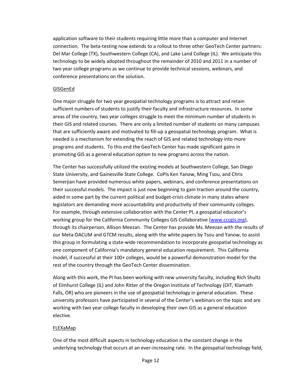application software to their students requiring little more than a computer and Internet connection. The beta-testing now extends to a rollout to three other GeoTech Center partners: Del Mar College (TX), Southwestern College (CA), and Lake Land College (IL). We anticipate this technology to be widely adopted throughout the remainder of 2010 and 2011 in a number of two year college programs as we continue to provide technical sessions, webinars, and conference presentations on the solution.

# GISGenEd

One major struggle for two year geospatial technology programs is to attract and retain sufficient numbers of students to justify their faculty and infrastructure resources. In some areas of the country, two year colleges struggle to meet the minimum number of students in their GIS and related courses. There are only a limited number of students on many campuses that are sufficiently aware and motivated to fill-up a geospatial technology program. What is needed is a mechanism for extending the reach of GIS and related technology into more programs and students. To this end the GeoTech Center has made significant gains in promoting GIS as a general education option to new programs across the nation.

The Center has successfully utilized the existing models at Southwestern College, San Diego State University, and Gainesville State College. CoPIs Ken Yanow, Ming Tsou, and Chris Semerjian have provided numerous white papers, webinars, and conference presentations on their successful models. The impact is just now beginning to gain traction around the country, aided in some part by the current political and budget-crisis climate in many states where legislators are demanding more accountability and productivity of their community colleges. For example, through extensive collaboration with the Center PI, a geospatial educator's working group for the California Community Colleges GIS Collaborative [\(www.cccgis.org\)](http://www.cccgis.org/), through its chairperson, Allison Meezan. The Center has provide Ms. Meezan with the results of our Meta-DACUM and GTCM results, along with the white papers by Tsou and Yanow, to assist this group in formulating a state-wide recommendation to incorporate geospatial technology as one component of California's mandatory general education requirement. This California model, if successful at their 100+ colleges, would be a powerful demonstration model for the rest of the country through the GeoTech Center dissemination.

Along with this work, the PI has been working with new university faculty, including Rich Shultz of Elmhurst College (IL) and John Ritter of the Oregon Institute of Technology (OIT, Klamath Falls, OR) who are pioneers in the use of geospatial technology in general education. These university professors have participated in several of the Center's webinars on the topic and are working with two year college faculty in developing their own GIS as a general education elective.

# FLEXaMap

One of the most difficult aspects in technology education is the constant change in the underlying technology that occurs at an ever-increasing rate. In the geospatial technology field,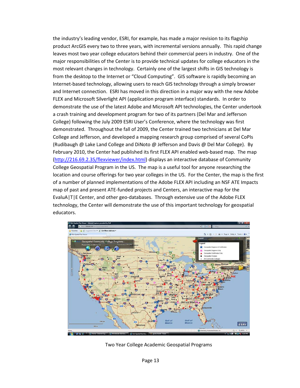the industry's leading vendor, ESRI, for example, has made a major revision to its flagship product ArcGIS every two to three years, with incremental versions annually. This rapid change leaves most two year college educators behind their commercial peers in industry. One of the major responsibilities of the Center is to provide technical updates for college educators in the most relevant changes in technology. Certainly one of the largest shifts in GIS technology is from the desktop to the Internet or "Cloud Computing". GIS software is rapidly becoming an Internet-based technology, allowing users to reach GIS technology through a simply browser and Internet connection. ESRI has moved in this direction in a major way with the new Adobe FLEX and Microsoft Silverlight API (application program interface) standards. In order to demonstrate the use of the latest Adobe and Microsoft API technologies, the Center undertook a crash training and development program for two of its partners (Del Mar and Jefferson College) following the July 2009 ESRI User's Conference, where the technology was first demonstrated. Throughout the fall of 2009, the Center trained two technicians at Del Mar College and Jefferson, and developed a mapping research group comprised of several CoPIs (Rudibaugh @ Lake Land College and DiNoto @ Jefferson and Davis @ Del Mar College). By February 2010, the Center had published its first FLEX API enabled web-based map. The map [\(http://216.69.2.35/flexviewer/index.html\)](http://216.69.2.35/flexviewer/index.html) displays an interactive database of Community College Geospatial Program in the US. The map is a useful tool for anyone researching the location and course offerings for two year colleges in the US. For the Center, the map is the first of a number of planned implementations of the Adobe FLEX API including an NSF ATE Impacts map of past and present ATE-funded projects and Centers, an interactive map for the EvaluA|T|E Center, and other geo-databases. Through extensive use of the Adobe FLEX technology, the Center will demonstrate the use of this important technology for geospatial educators.



Two Year College Academic Geospatial Programs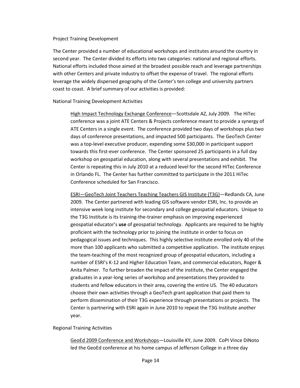#### Project Training Development

The Center provided a number of educational workshops and institutes around the country in second year. The Center divided its efforts into two categories: national and regional efforts. National efforts included those aimed at the broadest possible reach and leverage partnerships with other Centers and private industry to offset the expense of travel. The regional efforts leverage the widely dispersed geography of the Center's ten college and university partners coast to coast. A brief summary of our activities is provided:

## National Training Development Activities

High Impact Technology Exchange Conference—Scottsdale AZ, July 2009. The HiTec conference was a joint ATE Centers & Projects conference meant to provide a synergy of ATE Centers in a single event. The conference provided two days of workshops plus two days of conference presentations, and impacted 500 participants. The GeoTech Center was a top-level executive producer, expending some \$30,000 in participant support towards this first-ever conference. The Center sponsored 25 participants in a full day workshop on geospatial education, along with several presentations and exhibit. The Center is repeating this in July 2010 at a reduced level for the second HiTec Conference in Orlando FL. The Center has further committed to participate in the 2011 HiTec Conference scheduled for San Francisco.

ESRI—GeoTech Joint Teachers Teaching Teachers GIS Institute (T3G)—Redlands CA, June 2009. The Center partnered with leading GIS software vendor ESRI, Inc. to provide an intensive week long institute for secondary and college geospatial educators. Unique to the T3G Institute is its training-the-trainer emphasis on improving experienced geospatial educator's **use** of geospatial technology. Applicants are required to be highly proficient with the technology prior to joining the institute in order to focus on pedagogical issues and techniques. This highly selective institute enrolled only 40 of the more than 100 applicants who submitted a competitive application. The institute enjoys the team-teaching of the most recognized group of geospatial educators, including a number of ESRI's K-12 and Higher Education Team, and commercial educators, Roger & Anita Palmer. To further broaden the impact of the institute, the Center engaged the graduates in a year-long series of workshop and presentations they provided to students and fellow educators in their area, covering the entire US. The 40 educators choose their own activities through a GeoTech grant application that paid them to perform dissemination of their T3G experience through presentations or projects. The Center is partnering with ESRI again in June 2010 to repeat the T3G Institute another year.

## Regional Training Activities

GeoEd 2009 Conference and Workshops—Louisville KY, June 2009. CoPI Vince DiNoto led the GeoEd conference at his home campus of Jefferson College in a three day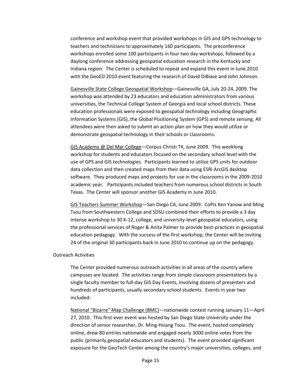conference and workshop event that provided workshops in GIS and GPS technology to teachers and technicians to approximately 160 participants. The preconference workshops enrolled some 100 participants in four two day workshops, followed by a daylong conference addressing geospatial education research in the Kentucky and Indiana region. The Center is scheduled to repeat and expand this event in June 2010 with the GeoED 2010 event featuring the research of David DiBiase and John Johnson.

Gainesville State College Geospatial Workshop—Gainesville GA, July 20-24, 2009. The workshop was attended by 23 educators and education administrators from various universities, the Technical College System of Georgia and local school districts. These education professionals were exposed to geospatial technology including Geographic Information Systems (GIS), the Global Positioning System (GPS) and remote sensing. All attendees were then asked to submit an action plan on how they would utilize or demonstrate geospatial technology in their schools or classrooms.

GIS Academy @ Del Mar College-Corpus Christi TX, June 2009. This weeklong workshop for students and educators focused on the secondary school level with the use of GPS and GIS technologies. Participants learned to utilize GPS units for outdoor data collection and then created maps from their data using ESRI ArcGIS desktop software. They produced maps and projects for use in the classrooms in the 2009-2010 academic year. Participants included teachers from numerous school districts in South Texas. The Center will sponsor another GIS Academy in June 2010.

GIS Teachers Summer Workshop—San Diego CA, June 2009. CoPIs Ken Yanow and Ming Tsou from Southwestern College and SDSU combined their efforts to provide a 3 day intense workshop to 30 K-12, college, and university-level geospatial educators, using the professional services of Roger & Anita Palmer to provide best-practices in geospatial education pedagogy. With the success of the first workshop, the Center will be inviting 24 of the original 30 participants back in June 2010 to continue up on the pedagogy.

#### Outreach Activities

The Center provided numerous outreach activities in all areas of the country where campuses are located. The activities range from simple classroom presentations by a single faculty member to full-day GIS Day Events, involving dozens of presenters and hundreds of participants, usually secondary school students. Events in year two included:

National "Bizarre" Map Challenge (BMC)—nationwide contest running January 11—April 27, 2010. This first-ever event was hosted by San Diego State University under the direction of senior researcher, Dr. Ming-Hsiang Tsou. The event, hosted completely online, drew 80 entries nationwide and engaged nearly 3000 online votes from the public (primarily geospatial educators and students). The event provided significant exposure for the GeoTech Center among the country's major universities, colleges, and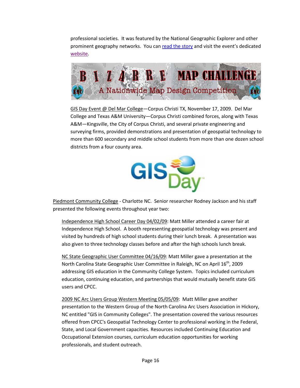professional societies. It was featured by the National Geographic Explorer and other prominent geography networks. You can [read the story](http://newscenter.sdsu.edu/sdsu_newscenter/news.aspx?s=72067) and visit the event's dedicated [website.](http://bizarremap.sdsu.edu/)



GIS Day Event @ Del Mar College—Corpus Christi TX, November 17, 2009. Del Mar College and Texas A&M University—Corpus Christi combined forces, along with Texas A&M—Kingsville, the City of Corpus Christi, and several private engineering and surveying firms, provided demonstrations and presentation of geospatial technology to more than 600 secondary and middle school students from more than one dozen school districts from a four county area.



Piedmont Community College - Charlotte NC. Senior researcher Rodney Jackson and his staff presented the following events throughout year two:

Independence High School Career Day 04/02/09: Matt Miller attended a career fair at Independence High School. A booth representing geospatial technology was present and visited by hundreds of high school students during their lunch break. A presentation was also given to three technology classes before and after the high schools lunch break.

NC State Geographic User Committee 04/16/09: Matt Miller gave a presentation at the North Carolina State Geographic User Committee in Raleigh, NC on April 16<sup>th</sup>, 2009 addressing GIS education in the Community College System. Topics included curriculum education, continuing education, and partnerships that would mutually benefit state GIS users and CPCC.

2009 NC Arc Users Group Western Meeting 05/05/09: Matt Miller gave another presentation to the Western Group of the North Carolina Arc Users Association in Hickory, NC entitled "GIS in Community Colleges". The presentation covered the various resources offered from CPCC's Geospatial Technology Center to professional working in the Federal, State, and Local Government capacities. Resources included Continuing Education and Occupational Extension courses, curriculum education opportunities for working professionals, and student outreach.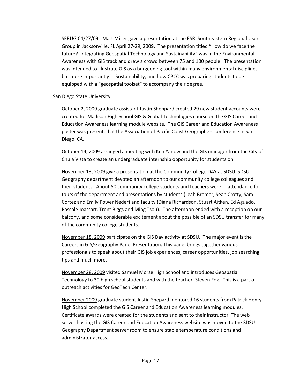SERUG 04/27/09: Matt Miller gave a presentation at the ESRI Southeastern Regional Users Group in Jacksonville, FL April 27-29, 2009. The presentation titled "How do we face the future? Integrating Geospatial Technology and Sustainability" was in the Environmental Awareness with GIS track and drew a crowd between 75 and 100 people. The presentation was intended to illustrate GIS as a burgeoning tool within many environmental disciplines but more importantly in Sustainability, and how CPCC was preparing students to be equipped with a "geospatial toolset" to accompany their degree.

## San Diego State University

October 2, 2009 graduate assistant Justin Sheppard created 29 new student accounts were created for Madison High School GIS & Global Technologies course on the GIS Career and Education Awareness learning module website. The GIS Career and Education Awareness poster was presented at the Association of Pacific Coast Geographers conference in San Diego, CA.

October 14, 2009 arranged a meeting with Ken Yanow and the GIS manager from the City of Chula Vista to create an undergraduate internship opportunity for students on.

November 13, 2009 give a presentation at the Community College DAY at SDSU. SDSU Geography department devoted an afternoon to our community college colleagues and their students. About 50 community college students and teachers were in attendance for tours of the department and presentations by students (Leah Bremer, Sean Crotty, Sam Cortez and Emily Power Neder) and faculty (Diana Richardson, Stuart Aitken, Ed Aguado, Pascale Joassart, Trent Biggs and Ming Tsou). The afternoon ended with a reception on our balcony, and some considerable excitement about the possible of an SDSU transfer for many of the community college students.

November 18, 2009 participate on the GIS Day activity at SDSU. The major event is the Careers in GIS/Geography Panel Presentation. This panel brings together various professionals to speak about their GIS job experiences, career opportunities, job searching tips and much more.

November 28, 2009 visited Samuel Morse High School and introduces Geospatial Technology to 30 high school students and with the teacher, Steven Fox. This is a part of outreach activities for GeoTech Center.

November 2009 graduate student Justin Shepard mentored 16 students from Patrick Henry High School completed the GIS Career and Education Awareness learning modules. Certificate awards were created for the students and sent to their instructor. The web server hosting the GIS Career and Education Awareness website was moved to the SDSU Geography Department server room to ensure stable temperature conditions and administrator access.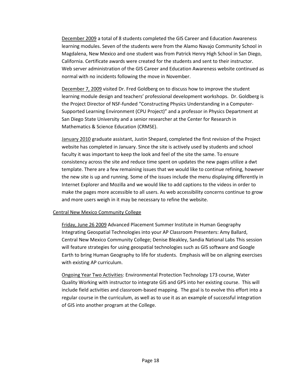December 2009 a total of 8 students completed the GIS Career and Education Awareness learning modules. Seven of the students were from the Alamo Navajo Community School in Magdalena, New Mexico and one student was from Patrick Henry High School in San Diego, California. Certificate awards were created for the students and sent to their instructor. Web server administration of the GIS Career and Education Awareness website continued as normal with no incidents following the move in November.

December 7, 2009 visited Dr. Fred Goldberg on to discuss how to improve the student learning module design and teachers' professional development workshops. Dr. Goldberg is the Project Director of NSF-funded "Constructing Physics Understanding in a Computer-Supported Learning Environment (CPU Project)" and a professor in Physics Department at San Diego State University and a senior researcher at the Center for Research in Mathematics & Science Education (CRMSE).

January 2010 graduate assistant, Justin Shepard, completed the first revision of the Project website has completed in January. Since the site is actively used by students and school faculty it was important to keep the look and feel of the site the same. To ensure consistency across the site and reduce time spent on updates the new pages utilize a dwt template. There are a few remaining issues that we would like to continue refining, however the new site is up and running. Some of the issues include the menu displaying differently in Internet Explorer and Mozilla and we would like to add captions to the videos in order to make the pages more accessible to all users. As web accessibility concerns continue to grow and more users weigh in it may be necessary to refine the website.

## Central New Mexico Community College

Friday, June 26 2009 Advanced Placement Summer Institute in Human Geography Integrating Geospatial Technologies into your AP Classroom Presenters: Amy Ballard, Central New Mexico Community College; Denise Bleakley, Sandia National Labs This session will feature strategies for using geospatial technologies such as GIS software and Google Earth to bring Human Geography to life for students. Emphasis will be on aligning exercises with existing AP curriculum.

Ongoing Year Two Activities: Environmental Protection Technology 173 course, Water Quality Working with instructor to integrate GIS and GPS into her existing course. This will include field activities and classroom-based mapping. The goal is to evolve this effort into a regular course in the curriculum, as well as to use it as an example of successful integration of GIS into another program at the College.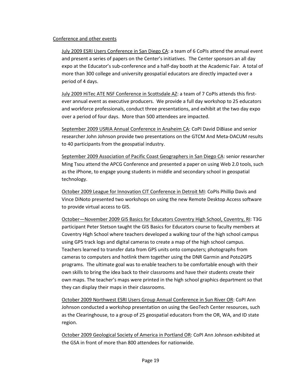## Conference and other events

July 2009 ESRI Users Conference in San Diego CA: a team of 6 CoPIs attend the annual event and present a series of papers on the Center's initiatives. The Center sponsors an all day expo at the Educator's sub-conference and a half-day booth at the Academic Fair. A total of more than 300 college and university geospatial educators are directly impacted over a period of 4 days.

July 2009 HiTec ATE NSF Conference in Scottsdale AZ: a team of 7 CoPIs attends this firstever annual event as executive producers. We provide a full day workshop to 25 educators and workforce professionals, conduct three presentations, and exhibit at the two day expo over a period of four days. More than 500 attendees are impacted.

September 2009 USRIA Annual Conference in Anaheim CA: CoPI David DiBiase and senior researcher John Johnson provide two presentations on the GTCM And Meta-DACUM results to 40 participants from the geospatial industry.

September 2009 Association of Pacific Coast Geographers in San Diego CA: senior researcher Ming Tsou attend the APCG Conference and presented a paper on using Web 2.0 tools, such as the iPhone, to engage young students in middle and secondary school in geospatial technology.

October 2009 League for Innovation CIT Conference in Detroit MI: CoPIs Phillip Davis and Vince DiNoto presented two workshops on using the new Remote Desktop Access software to provide virtual access to GIS.

October—November 2009 GIS Basics for Educators Coventry High School, Coventry, RI: T3G participant Peter Stetson taught the GIS Basics for Educators course to faculty members at Coventry High School where teachers developed a walking tour of the high school campus using GPS track logs and digital cameras to create a map of the high school campus. Teachers learned to transfer data from GPS units onto computers; photographs from cameras to computers and hotlink them together using the DNR Garmin and Poto2GPS programs. The ultimate goal was to enable teachers to be comfortable enough with their own skills to bring the idea back to their classrooms and have their students create their own maps. The teacher's maps were printed in the high school graphics department so that they can display their maps in their classrooms.

October 2009 Northwest ESRI Users Group Annual Conference in Sun River OR: CoPI Ann Johnson conducted a workshop presentation on using the GeoTech Center resources, such as the Clearinghouse, to a group of 25 geospatial educators from the OR, WA, and ID state region.

October 2009 Geological Society of America in Portland OR: CoPI Ann Johnson exhibited at the GSA in front of more than 800 attendees for nationwide.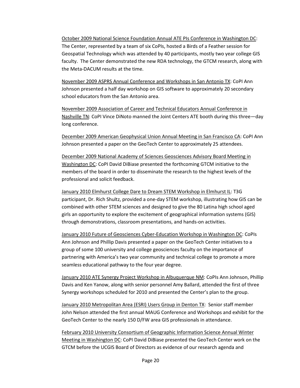October 2009 National Science Foundation Annual ATE PIs Conference in Washington DC: The Center, represented by a team of six CoPIs, hosted a Birds of a Feather session for Geospatial Technology which was attended by 40 participants, mostly two year college GIS faculty. The Center demonstrated the new RDA technology, the GTCM research, along with the Meta-DACUM results at the time.

November 2009 ASPRS Annual Conference and Workshops in San Antonio TX: CoPI Ann Johnson presented a half day workshop on GIS software to approximately 20 secondary school educators from the San Antonio area.

November 2009 Association of Career and Technical Educators Annual Conference in Nashville TN: CoPI Vince DiNoto manned the Joint Centers ATE booth during this three—day long conference.

December 2009 American Geophysical Union Annual Meeting in San Francisco CA: CoPI Ann Johnson presented a paper on the GeoTech Center to approximately 25 attendees.

December 2009 National Academy of Sciences Geosciences Advisory Board Meeting in Washington DC: CoPI David DiBiase presented the forthcoming GTCM initiative to the members of the board in order to disseminate the research to the highest levels of the professional and solicit feedback.

January 2010 Elmhurst College Dare to Dream STEM Workshop in Elmhurst IL: T3G participant, Dr. Rich Shultz, provided a one-day STEM workshop, illustrating how GIS can be combined with other STEM sciences and designed to give the 80 Latina high school aged girls an opportunity to explore the excitement of geographical information systems (GIS) through demonstrations, classroom presentations, and hands-on activities.

January 2010 Future of Geosciences Cyber-Education Workshop in Washington DC: CoPIs Ann Johnson and Phillip Davis presented a paper on the GeoTech Center initiatives to a group of some 100 university and college geosciences faculty on the importance of partnering with America's two year community and technical college to promote a more seamless educational pathway to the four year degree.

January 2010 ATE Synergy Project Workshop in Albuquerque NM: CoPIs Ann Johnson, Phillip Davis and Ken Yanow, along with senior personnel Amy Ballard, attended the first of three Synergy workshops scheduled for 2010 and presented the Center's plan to the group.

January 2010 Metropolitan Area (ESRI) Users Group in Denton TX: Senior staff member John Nelson attended the first annual MAUG Conference and Workshops and exhibit for the GeoTech Center to the nearly 150 D/FW area GIS professionals in attendance.

February 2010 University Consortium of Geographic Information Science Annual Winter Meeting in Washington DC: CoPI David DiBiase presented the GeoTech Center work on the GTCM before the UCGIS Board of Directors as evidence of our research agenda and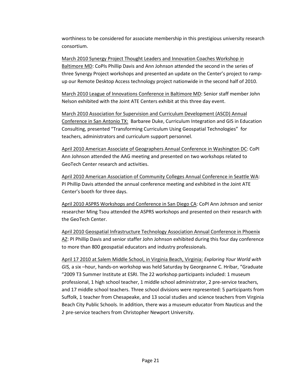worthiness to be considered for associate membership in this prestigious university research consortium.

March 2010 Synergy Project Thought Leaders and Innovation Coaches Workshop in Baltimore MD: CoPIs Phillip Davis and Ann Johnson attended the second in the series of three Synergy Project workshops and presented an update on the Center's project to rampup our Remote Desktop Access technology project nationwide in the second half of 2010.

March 2010 League of Innovations Conference in Baltimore MD: Senior staff member John Nelson exhibited with the Joint ATE Centers exhibit at this three day event.

March 2010 Association for Supervision and Curriculum Development (ASCD) Annual Conference in San Antonio TX: Barbaree Duke, Curriculum Integration and GIS in Education Consulting, presented "Transforming Curriculum Using Geospatial Technologies" for teachers, administrators and curriculum support personnel.

April 2010 American Associate of Geographers Annual Conference in Washington DC: CoPI Ann Johnson attended the AAG meeting and presented on two workshops related to GeoTech Center research and activities.

April 2010 American Association of Community Colleges Annual Conference in Seattle WA: PI Phillip Davis attended the annual conference meeting and exhibited in the Joint ATE Center's booth for three days.

April 2010 ASPRS Workshops and Conference in San Diego CA: CoPI Ann Johnson and senior researcher Ming Tsou attended the ASPRS workshops and presented on their research with the GeoTech Center.

April 2010 Geospatial Infrastructure Technology Association Annual Conference in Phoenix AZ: PI Phillip Davis and senior staffer John Johnson exhibited during this four day conference to more than 800 geospatial educators and industry professionals.

April 17 2010 at Salem Middle School, in Virginia Beach, Virginia: *Exploring Your World with GIS,* a six –hour, hands-on workshop was held Saturday by Georgeanne C. Hribar, "Graduate "2009 T3 Summer Institute at ESRI. The 22 workshop participants included: 1 museum professional, 1 high school teacher, 1 middle school administrator, 2 pre-service teachers, and 17 middle school teachers. Three school divisions were represented: 5 participants from Suffolk, 1 teacher from Chesapeake, and 13 social studies and science teachers from Virginia Beach City Public Schools. In addition, there was a museum educator from Nauticus and the 2 pre-service teachers from Christopher Newport University.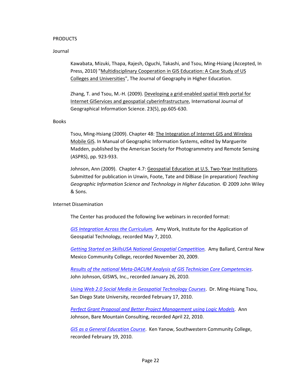## PRODUCTS

#### Journal

Kawabata, Mizuki, Thapa, Rajesh, Oguchi, Takashi, and Tsou, Ming-Hsiang (Accepted, In Press, 2010) "Multidisciplinary Cooperation in GIS Education: A Case Study of US Colleges and Universities", The Journal of Geography in Higher Education.

Zhang, T. and Tsou, M.-H. (2009). Developing a grid-enabled spatial Web portal for Internet GIServices and geospatial cyberinfrastructure, International Journal of Geographical Information Science. 23(5), pp.605-630.

#### Books

Tsou, Ming-Hsiang (2009). Chapter 48: The Integration of Internet GIS and Wireless Mobile GIS. In Manual of Geographic Information Systems, edited by Marguerite Madden, published by the American Society for Photogrammetry and Remote Sensing (ASPRS), pp. 923-933.

Johnson, Ann (2009). Chapter 4.7: Geospatial Education at U.S. Two-Year Institutions. Submitted for publication in Unwin, Foote, Tate and DiBiase (in preparation) *Teaching Geographic Information Science and Technology in Higher Education.* © 2009 John Wiley & Sons.

#### Internet Dissemination

The Center has produced the following live webinars in recorded format:

*[GIS Integration Across the Curriculum.](https://admin.na5.acrobat.com/_a783772738/p78218612/)* Amy Work, Institute for the Application of Geospatial Technology, recorded May 7, 2010.

*[Getting Started on SkillsUSA National Geospatial Competition.](https://admin.na5.acrobat.com/_a783772738/p44138540/)* Amy Ballard, Central New Mexico Community College, recorded November 20, 2009.

*[Results of the national Meta-DACUM Analysis of GIS Technician Core Competencies](https://admin.na5.acrobat.com/_a783772738/p88593183/)*. John Johnson, GISWS, Inc., recorded January 26, 2010.

*[Using Web 2.0 Social Media in Geospatial Technology Courses](https://admin.na5.acrobat.com/_a783772738/p46623146/)*. Dr. Ming-Hsiang Tsou, San Diego State University, recorded February 17, 2010.

*[Perfect Grant Proposal and Better Project Management using Logic Models](http://admin.na5.acrobat.com/_a783772738/p23174630/)*. Ann Johnson, Bare Mountain Consulting, recorded April 22, 2010.

*[GIS as a General Education Course](https://admin.na5.acrobat.com/_a783772738/p88813491/)*. Ken Yanow, Southwestern Community College, recorded February 19, 2010.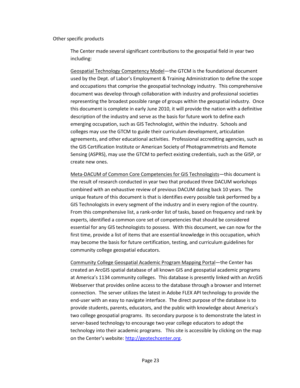#### Other specific products

The Center made several significant contributions to the geospatial field in year two including:

Geospatial Technology Competency Model—the GTCM is the foundational document used by the Dept. of Labor's Employment & Training Administration to define the scope and occupations that comprise the geospatial technology industry. This comprehensive document was develop through collaboration with industry and professional societies representing the broadest possible range of groups within the geospatial industry. Once this document is complete in early June 2010, it will provide the nation with a definitive description of the industry and serve as the basis for future work to define each emerging occupation, such as GIS Technologist, within the industry. Schools and colleges may use the GTCM to guide their curriculum development, articulation agreements, and other educational activities. Professional accrediting agencies, such as the GIS Certification Institute or American Society of Photogrammetrists and Remote Sensing (ASPRS), may use the GTCM to perfect existing credentials, such as the GISP, or create new ones.

Meta-DACUM of Common Core Competencies for GIS Technologists—this document is the result of research conducted in year two that produced three DACUM workshops combined with an exhaustive review of previous DACUM dating back 10 years. The unique feature of this document is that is identifies every possible task performed by a GIS Technologists in every segment of the industry and in every region of the country. From this comprehensive list, a rank-order list of tasks, based on frequency and rank by experts, identified a common core set of competencies that should be considered essential for any GIS technologists to possess. With this document, we can now for the first time, provide a list of items that are essential knowledge in this occupation, which may become the basis for future certification, testing, and curriculum guidelines for community college geospatial educators.

Community College Geospatial Academic Program Mapping Portal—the Center has created an ArcGIS spatial database of all known GIS and geospatial academic programs at America's 1134 community colleges. This database is presently linked with an ArcGIS Webserver that provides online access to the database through a browser and Internet connection. The server utilizes the latest in Adobe FLEX API technology to provide the end-user with an easy to navigate interface. The direct purpose of the database is to provide students, parents, educators, and the public with knowledge about America's two college geospatial programs. Its secondary purpose is to demonstrate the latest in server-based technology to encourage two year college educators to adopt the technology into their academic programs. This site is accessible by clicking on the map on the Center's website[: http://geotechcenter.org.](http://geotechcenter.org/)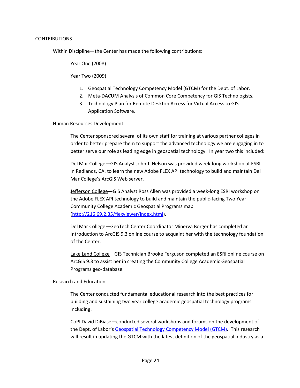## CONTRIBUTIONS

Within Discipline—the Center has made the following contributions:

Year One (2008)

Year Two (2009)

- 1. Geospatial Technology Competency Model (GTCM) for the Dept. of Labor.
- 2. Meta-DACUM Analysis of Common Core Competency for GIS Technologists.
- 3. Technology Plan for Remote Desktop Access for Virtual Access to GIS Application Software.

Human Resources Development

The Center sponsored several of its own staff for training at various partner colleges in order to better prepare them to support the advanced technology we are engaging in to better serve our role as leading edge in geospatial technology. In year two this included:

Del Mar College—GIS Analyst John J. Nelson was provided week-long workshop at ESRI in Redlands, CA. to learn the new Adobe FLEX API technology to build and maintain Del Mar College's ArcGIS Web server.

Jefferson College—GIS Analyst Ross Allen was provided a week-long ESRI workshop on the Adobe FLEX API technology to build and maintain the public-facing Two Year Community College Academic Geospatial Programs map [\(http://216.69.2.35/flexviewer/index.html\)](http://216.69.2.35/flexviewer/index.html).

Del Mar College—GeoTech Center Coordinator Minerva Borger has completed an Introduction to ArcGIS 9.3 online course to acquaint her with the technology foundation of the Center.

Lake Land College—GIS Technician Brooke Ferguson completed an ESRI online course on ArcGIS 9.3 to assist her in creating the Community College Academic Geospatial Programs geo-database.

# Research and Education

The Center conducted fundamental educational research into the best practices for building and sustaining two year college academic geospatial technology programs including:

CoPI David DiBiase—conducted several workshops and forums on the development of the Dept. of Labor's [Geospatial Technology Competency Model \(GTCM\).](http://geotechcenter.org/LinkClick.aspx?fileticket=ZVXYasV7czY%3d&tabid=80) This research will result in updating the GTCM with the latest definition of the geospatial industry as a